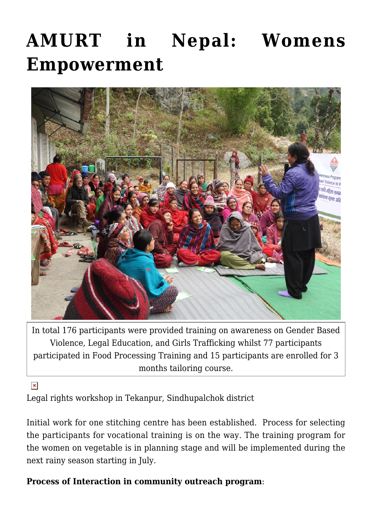# **[AMURT in Nepal: Womens](https://crimsondawn.net/portfolio/amurt-in-nepal-womens-empowerment/) [Empowerment](https://crimsondawn.net/portfolio/amurt-in-nepal-womens-empowerment/)**



In total 176 participants were provided training on awareness on Gender Based Violence, Legal Education, and Girls Trafficking whilst 77 participants participated in Food Processing Training and 15 participants are enrolled for 3 months tailoring course.

 $\pmb{\times}$ 

Legal rights workshop in Tekanpur, Sindhupalchok district

Initial work for one stitching centre has been established. Process for selecting the participants for vocational training is on the way. The training program for the women on vegetable is in planning stage and will be implemented during the next rainy season starting in July.

### **Process of Interaction in community outreach program**: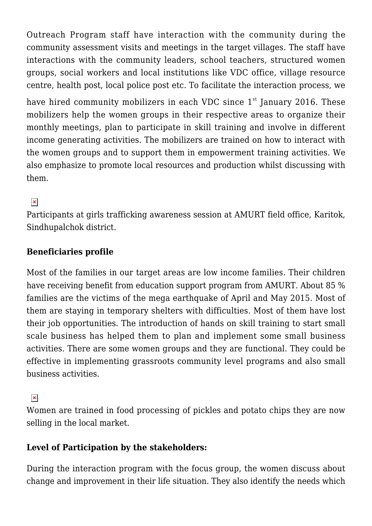Outreach Program staff have interaction with the community during the community assessment visits and meetings in the target villages. The staff have interactions with the community leaders, school teachers, structured women groups, social workers and local institutions like VDC office, village resource centre, health post, local police post etc. To facilitate the interaction process, we

have hired community mobilizers in each VDC since  $1<sup>st</sup>$  January 2016. These mobilizers help the women groups in their respective areas to organize their monthly meetings, plan to participate in skill training and involve in different income generating activities. The mobilizers are trained on how to interact with the women groups and to support them in empowerment training activities. We also emphasize to promote local resources and production whilst discussing with them.

## $\pmb{\times}$

Participants at girls trafficking awareness session at AMURT field office, Karitok, Sindhupalchok district.

### **Beneficiaries profile**

Most of the families in our target areas are low income families. Their children have receiving benefit from education support program from AMURT. About 85 % families are the victims of the mega earthquake of April and May 2015. Most of them are staying in temporary shelters with difficulties. Most of them have lost their job opportunities. The introduction of hands on skill training to start small scale business has helped them to plan and implement some small business activities. There are some women groups and they are functional. They could be effective in implementing grassroots community level programs and also small business activities.

#### $\pmb{\times}$

Women are trained in food processing of pickles and potato chips they are now selling in the local market.

#### **Level of Participation by the stakeholders:**

During the interaction program with the focus group, the women discuss about change and improvement in their life situation. They also identify the needs which